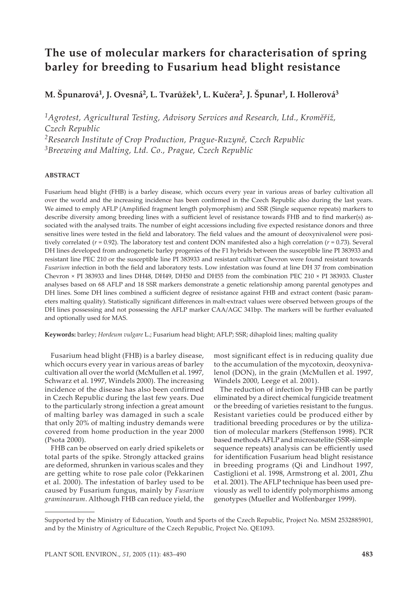# **The use of molecular markers for characterisation of spring barley for breeding to Fusarium head blight resistance**

## **M. Špunarová1, J. Ovesná2, L. Tvarůžek1, L. Kučera2, J. Špunar1, I. Hollerová3**

*1Agrotest, Agricultural Testing, Advisory Services and Research, Ltd., Kroměříž, Czech Republic 2Research Institute of Crop Production, Prague-Ruzyně, Czech Republic 3Breewing and Malting, Ltd. Co., Prague, Czech Republic*

#### **ABSTRACT**

Fusarium head blight (FHB) is a barley disease, which occurs every year in various areas of barley cultivation all over the world and the increasing incidence has been confirmed in the Czech Republic also during the last years. We aimed to emply AFLP (Amplified fragment length polymorphism) and SSR (Single sequence repeats) markers to describe diversity among breeding lines with a sufficient level of resistance towards FHB and to find marker(s) associated with the analysed traits. The number of eight accessions including five expected resistance donors and three sensitive lines were tested in the field and laboratory. The field values and the amount of deoxynivalenol were positively correlated (*r* = 0.92). The laboratory test and content DON manifested also a high correlation (*r* = 0.73). Several DH lines developed from androgenetic barley progenies of the F1 hybrids between the susceptible line PI 383933 and resistant line PEC 210 or the susceptible line PI 383933 and resistant cultivar Chevron were found resistant towards *Fusarium* infection in both the field and laboratory tests. Low infestation was found at line DH 37 from combination Chevron × PI 383933 and lines DH48, DH49, DH50 and DH55 from the combination PEC 210 × PI 383933. Cluster analyses based on 68 AFLP and 18 SSR markers demonstrate a genetic relationship among parental genotypes and DH lines. Some DH lines combined a sufficient degree of resistance against FHB and extract content (basic parameters malting quality). Statistically significant differences in malt-extract values were observed between groups of the DH lines possessing and not possessing the AFLP marker CAA/AGC 341bp. The markers will be further evaluated and optionally used for MAS.

**Keywords:** barley; *Hordeum vulgare* L.; Fusarium head blight; AFLP; SSR; dihaploid lines; malting quality

Fusarium head blight (FHB) is a barley disease, which occurs every year in various areas of barley cultivation all over the world (McMullen et al. 1997, Schwarz et al. 1997, Windels 2000). The increasing incidence of the disease has also been confirmed in Czech Republic during the last few years. Due to the particularly strong infection a great amount of malting barley was damaged in such a scale that only 20% of malting industry demands were covered from home production in the year 2000 (Psota 2000).

FHB can be observed on early dried spikelets or total parts of the spike. Strongly attacked grains are deformed, shrunken in various scales and they are getting white to rose pale color (Pekkarinen et al. 2000). The infestation of barley used to be caused by Fusarium fungus, mainly by *Fusarium graminearum*. Although FHB can reduce yield, the most significant effect is in reducing quality due to the accumulation of the mycotoxin, deoxynivalenol (DON), in the grain (McMullen et al. 1997, Windels 2000, Leege et al. 2001).

The reduction of infection by FHB can be partly eliminated by a direct chemical fungicide treatment or the breeding of varieties resistant to the fungus. Resistant varieties could be produced either by traditional breeding procedures or by the utilization of molecular markers (Steffenson 1998). PCR based methods AFLP and microsatelite (SSR-simple sequence repeats) analysis can be efficiently used for identification Fusarium head blight resistance in breeding programs (Qi and Lindhout 1997, Castiglioni et al. 1998, Armstrong et al. 2001, Zhu et al. 2001). The AFLP technique has been used previously as well to identify polymorphisms among genotypes (Mueller and Wolfenbarger 1999).

Supported by the Ministry of Education, Youth and Sports of the Czech Republic, Project No. MSM 2532885901, and by the Ministry of Agriculture of the Czech Republic, Project No. QE1093.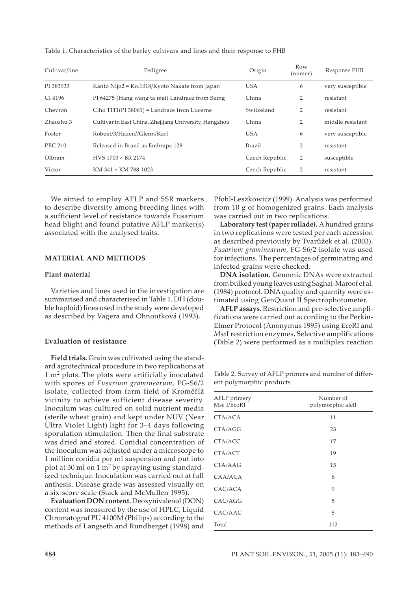| Cultivar/line  | Pedigree                                               | Origin         | Row<br>(numer) |                  |
|----------------|--------------------------------------------------------|----------------|----------------|------------------|
| PI 383933      | Kanto Nijo2 = Ko.1018/Kyoto Nakate from Japan          | <b>USA</b>     | 6              | very susceptible |
| CI 4196        | PI 64275 (Hang wang ta mai) Landrace from Being        | China          | 2              | resistant        |
| Chevron        | Clho $1111$ (PI 38061) = Landrace from Lucerne         | Switzeland     | $\overline{2}$ | resistant        |
| Zhaoshu 3      | Cultivar in East China, Zhejijang University, Hangzhou | China          | $\overline{2}$ | middle resistant |
| Foster         | Robust/3/Hazen//Glenn/Karl                             | <b>USA</b>     | 6              | very susceptible |
| <b>PEC 210</b> | Released in Brazil as Embrapa 128                      | Brazil         | 2              | resistant        |
| Olbram         | $HVS$ 1703 $\times$ BR 2174                            | Czech Republic | 2              | susceptible      |
| Victor         | KM 341 × KM 788-1023                                   | Czech Republic | 2              | resistant        |

Table 1. Characteristics of the barley cultivars and lines and their response to FHB

We aimed to employ AFLP and SSR markers to describe diversity among breeding lines with a sufficient level of resistance towards Fusarium head blight and found putative AFLP marker(s) associated with the analysed traits.

#### **MATERIAL AND METHODS**

#### **Plant material**

Varieties and lines used in the investigation are summarised and characterised in Table 1. DH (double haploid) lines used in the study were developed as described by Vagera and Ohnoutková (1993).

#### **Evaluation of resistance**

**Field trials.** Grain was cultivated using the standard agrotechnical procedure in two replications at  $1 \text{ m}^2$  plots. The plots were artificially inoculated with spores of *Fusarium graminearum*, FG-S6/2 isolate, collected from farm field of Kroměříž vicinity to achieve sufficient disease severity. Inoculum was cultured on solid nutrient media (sterile wheat grain) and kept under NUV (Near Ultra Violet Light) light for 3–4 days following sporulation stimulation. Then the final substrate was dried and stored. Conidial concentration of the inoculum was adjusted under a microscope to 1 million conidia per ml suspension and put into plot at 30 ml on 1 m2 by spraying using standardized technique. Inoculation was carried out at full anthesis. Disease grade was assessed visually on a six-score scale (Stack and McMullen 1995).

**Evaluation DON content.** Deoxynivalenol (DON) content was measured by the use of HPLC, Liquid Chromatograf PU 4100M (Philips) according to the methods of Langseth and Rundberget (1998) and

Pfohl-Leszkowicz (1999). Analysis was performed from 10 g of homogenized grains. Each analysis was carried out in two replications.

**Laboratory test (paper rollade).** A hundred grains in two replications were tested per each accession as described previously by Tvarůžek et al. (2003). *Fusarium graminearum*, FG-S6/2 isolate was used for infections. The percentages of germinating and infected grains were checked.

**DNA isolation.** Genomic DNAs were extracted from bulked young leaves using Saghai-Maroof et al. (1984) protocol. DNA quality and quantity were estimated using GenQuant II Spectrophotometer.

**AFLP assays.** Restriction and pre-selective amplifications were carried out according to the Perkin-Elmer Protocol (Anonymus 1995) using *Eco*RI and *Mse*I restriction enzymes. Selective amplifications (Table 2) were performed as a multiplex reaction

Table 2. Survey of AFLP primers and number of different polymorphic products

| AFLP primery<br>Mse I/EcoRI | Number of<br>polymorphic alell |  |  |  |
|-----------------------------|--------------------------------|--|--|--|
| CTA/ACA                     | 11                             |  |  |  |
| CTA/AGG                     | 23                             |  |  |  |
| CTA/ACC                     | 17                             |  |  |  |
| CTA/ACT                     | 19                             |  |  |  |
| CTA/AAG                     | 15                             |  |  |  |
| CAA/ACA                     | 8                              |  |  |  |
| CAC/ACA                     | 9                              |  |  |  |
| CAC/AGG                     | 5                              |  |  |  |
| CAC/AAC                     | 5                              |  |  |  |
| Total                       | 112                            |  |  |  |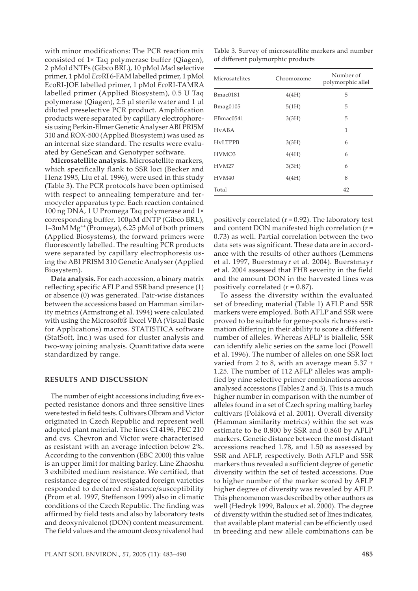with minor modifications: The PCR reaction mix consisted of 1× Taq polymerase buffer (Qiagen), 2 pMol dNTPs (Gibco BRL), 10 pMol *Mse*I selective primer, 1 pMol *Eco*RI 6-FAM labelled primer, 1 pMol EcoRI-JOE labelled primer, 1 pMol *Eco*RI-TAMRA labelled primer (Applied Biosystem), 0.5 U Taq polymerase (Qiagen), 2.5 µl sterile water and 1 µl diluted preselective PCR product. Amplification products were separated by capillary electrophoresis using Perkin-Elmer Genetic Analyser ABI PRISM 310 and ROX-500 (Applied Biosystem) was used as an internal size standard. The results were evaluated by GeneScan and Genotyper software.

**Microsatellite analysis.** Microsatellite markers, which specifically flank to SSR loci (Becker and Henz 1995, Liu et al. 1996), were used in this study (Table 3). The PCR protocols have been optimised with respect to annealing temperature and termocycler apparatus type. Each reaction contained 100 ng DNA, 1 U Promega Taq polymerase and 1× corresponding buffer, 100µM dNTP (Gibco BRL), 1–3mM Mg++ (Promega), 6.25 pMol of both primers (Applied Biosystems), the forward primers were fluorescently labelled. The resulting PCR products were separated by capillary electrophoresis using the ABI PRISM 310 Genetic Analyser (Applied Biosystem).

**Data analysis.** For each accession, a binary matrix reflecting specific AFLP and SSR band presence (1) or absence (0) was generated. Pair-wise distances between the accessions based on Hamman similarity metrics (Armstrong et al. 1994) were calculated with using the Microsoft® Excel VBA (Visual Basic for Applications) macros. STATISTICA software (StatSoft, Inc.) was used for cluster analysis and two-way joining analysis. Quantitative data were standardized by range.

#### **RESULTS AND DISCUSSION**

The number of eight accessions including five expected resistance donors and three sensitive lines were tested in field tests. Cultivars Olbram and Victor originated in Czech Republic and represent well adopted plant material. The lines CI 4196, PEC 210 and cvs. Chevron and Victor were characterised as resistant with an average infection below 2%. According to the convention (EBC 2000) this value is an upper limit for malting barley. Line Zhaoshu 3 exhibited medium resistance. We certified, that resistance degree of investigated foreign varieties responded to declared resistance/susceptibility (Prom et al. 1997, Steffenson 1999) also in climatic conditions of the Czech Republic. The finding was affirmed by field tests and also by laboratory tests and deoxynivalenol (DON) content measurement. The field values and the amount deoxynivalenol had

of different polymorphic products Microsatelites Chromozome Number of polymorphic allel Bmac0181 4(4H) 5 Bmag0105 5(1H) 5 EBmac0541 3(3H) 5 HvABA 1

HvLTPPB 3(3H) 6 HVMO3 4(4H) 6 HVM27 3(3H) 6 HVM40 4(4H) 8 Total 42

Table 3. Survey of microsatellite markers and number

To assess the diversity within the evaluated set of breeding material (Table 1) AFLP and SSR markers were employed. Both AFLP and SSR were proved to be suitable for gene-pools richness estimation differing in their ability to score a different number of alleles. Whereas AFLP is biallelic, SSR can identify alelic series on the same loci (Powell et al. 1996). The number of alleles on one SSR loci varied from 2 to 8, with an average mean  $5.37 \pm$ 1.25. The number of 112 AFLP alleles was amplified by nine selective primer combinations across analysed accessions (Tables 2 and 3). This is a much higher number in comparison with the number of alleles found in a set of Czech spring malting barley cultivars (Poláková et al. 2001). Overall diversity (Hamman similarity metrics) within the set was estimate to be 0.800 by SSR and 0.860 by AFLP markers. Genetic distance between the most distant accessions reached 1.78, and 1.50 as assessed by SSR and AFLP, respectively. Both AFLP and SSR markers thus revealed a sufficient degree of genetic diversity within the set of tested accessions. Due to higher number of the marker scored by AFLP higher degree of diversity was revealed by AFLP. This phenomenon was described by other authors as well (Hedryk 1999, Baloux et al. 2000). The degree of diversity within the studied set of lines indicates, that available plant material can be efficiently used in breeding and new allele combinations can be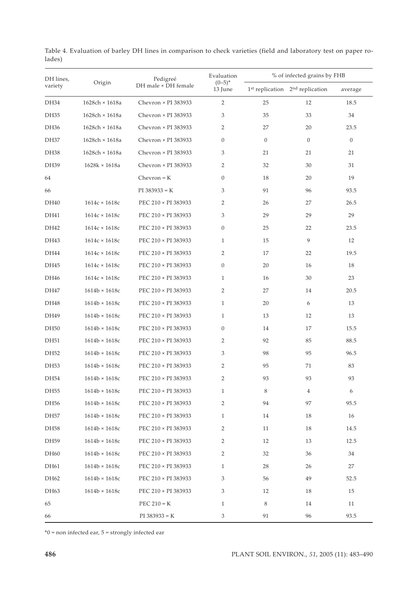| DH lines,<br>variety |                      | Pedigreé<br>DH male × DH female | Evaluation<br>$(0-5)^{*}$<br>13 June | % of infected grains by FHB |                                     |                |
|----------------------|----------------------|---------------------------------|--------------------------------------|-----------------------------|-------------------------------------|----------------|
|                      | Origin               |                                 |                                      |                             | $1st$ replication $2nd$ replication | average        |
| DH34                 | 1628ch × 1618a       | Chevron × PI 383933             | $\overline{2}$                       | 25                          | 12                                  | 18.5           |
| DH35                 | 1628ch × 1618a       | Chevron × PI 383933             | 3                                    | 35                          | 33                                  | 34             |
| DH36                 | 1628ch × 1618a       | Chevron × PI 383933             | $\overline{2}$                       | 27                          | 20                                  | 23.5           |
| DH37                 | 1628ch × 1618a       | Chevron × PI 383933             | $\mathbf{0}$                         | $\boldsymbol{0}$            | $\mathbf{0}$                        | $\overline{0}$ |
| <b>DH38</b>          | 1628ch × 1618a       | Chevron × PI 383933             | 3                                    | 21                          | 21                                  | 21             |
| DH39                 | $1628k \times 1618a$ | Chevron × PI 383933             | 2                                    | 32                          | $30\,$                              | 31             |
| 64                   |                      | $Chevron = K$                   | $\boldsymbol{0}$                     | 18                          | 20                                  | 19             |
| 66                   |                      | $PI 383933 = K$                 | 3                                    | 91                          | 96                                  | 93.5           |
| DH40                 | $1614c \times 1618c$ | PEC 210 × PI 383933             | 2                                    | 26                          | 27                                  | 26.5           |
| DH41                 | $1614c \times 1618c$ | PEC 210 × PI 383933             | 3                                    | 29                          | 29                                  | 29             |
| DH42                 | $1614c \times 1618c$ | PEC 210 × PI 383933             | $\boldsymbol{0}$                     | 25                          | 22                                  | 23.5           |
| DH43                 | $1614c \times 1618c$ | PEC 210 × PI 383933             | $\mathbf{1}$                         | 15                          | 9                                   | 12             |
| DH44                 | $1614c \times 1618c$ | PEC 210 × PI 383933             | $\overline{2}$                       | 17                          | 22                                  | 19.5           |
| DH45                 | $1614c \times 1618c$ | PEC 210 × PI 383933             | $\boldsymbol{0}$                     | 20                          | 16                                  | 18             |
| DH46                 | $1614c \times 1618c$ | PEC 210 × PI 383933             | $\mathbf{1}$                         | 16                          | 30                                  | 23             |
| DH47                 | $1614b \times 1618c$ | PEC 210 × PI 383933             | $\overline{2}$                       | 27                          | 14                                  | 20.5           |
| DH48                 | $1614b \times 1618c$ | PEC 210 × PI 383933             | $\mathbf{1}$                         | 20                          | 6                                   | 13             |
| DH49                 | $1614b \times 1618c$ | PEC 210 × PI 383933             | $\mathbf{1}$                         | 13                          | 12                                  | 13             |
| DH50                 | $1614b \times 1618c$ | PEC 210 × PI 383933             | $\boldsymbol{0}$                     | 14                          | 17                                  | 15.5           |
| DH51                 | $1614b \times 1618c$ | PEC 210 × PI 383933             | 2                                    | 92                          | 85                                  | 88.5           |
| DH52                 | $1614b \times 1618c$ | PEC 210 × PI 383933             | 3                                    | 98                          | 95                                  | 96.5           |
| DH53                 | $1614b \times 1618c$ | PEC 210 × PI 383933             | 2                                    | 95                          | 71                                  | 83             |
| <b>DH54</b>          | $1614b \times 1618c$ | PEC 210 × PI 383933             | $\overline{2}$                       | 93                          | 93                                  | 93             |
| DH55                 | $1614b \times 1618c$ | PEC 210 × PI 383933             | $\mathbf{1}$                         | 8                           | 4                                   | 6              |
| DH56                 | $1614b \times 1618c$ | PEC 210 × PI 383933             | 2                                    | 94                          | 97                                  | 95.5           |
| DH <sub>57</sub>     | $1614b \times 1618c$ | PEC 210 × PI 383933             | $\mathbf{1}$                         | 14                          | 18                                  | 16             |
| DH58                 | $1614b \times 1618c$ | PEC 210 × PI 383933             | 2                                    | 11                          | 18                                  | 14.5           |
| DH59                 | $1614b \times 1618c$ | PEC 210 × PI 383933             | 2                                    | 12                          | 13                                  | 12.5           |
| DH60                 | $1614b \times 1618c$ | PEC 210 × PI 383933             | 2                                    | 32                          | 36                                  | 34             |
| DH61                 | $1614b \times 1618c$ | PEC 210 × PI 383933             | $\mathbf{1}$                         | 28                          | 26                                  | 27             |
| DH62                 | $1614b \times 1618c$ | PEC 210 × PI 383933             | 3                                    | 56                          | 49                                  | 52.5           |
| DH63                 | $1614b \times 1618c$ | PEC 210 × PI 383933             | 3                                    | 12                          | 18                                  | 15             |
| 65                   |                      | PEC $210 = K$                   | $\mathbf{1}$                         | 8                           | 14                                  | 11             |
| 66                   |                      | $PI 383933 = K$                 | 3                                    | 91                          | 96                                  | 93.5           |

Table 4. Evaluation of barley DH lines in comparison to check varieties (field and laboratory test on paper rolades)

\*0 = non infected ear, 5 = strongly infected ear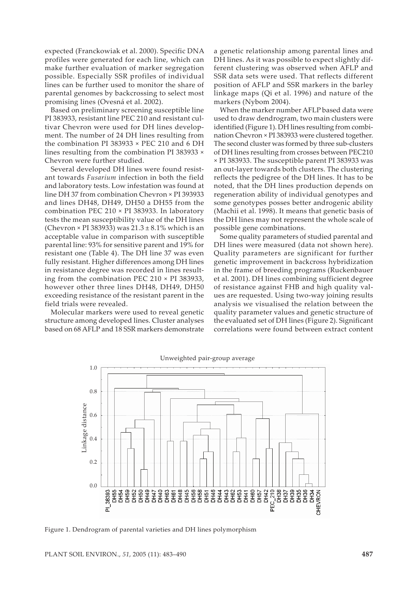expected (Franckowiak et al. 2000). Specific DNA profiles were generated for each line, which can make further evaluation of marker segregation possible. Especially SSR profiles of individual lines can be further used to monitor the share of parental genomes by backcrossing to select most promising lines (Ovesná et al. 2002).

Based on preliminary screening susceptible line PI 383933, resistant line PEC 210 and resistant cultivar Chevron were used for DH lines development. The number of 24 DH lines resulting from the combination PI 383933  $\times$  PEC 210 and 6 DH lines resulting from the combination PI 383933 × Chevron were further studied.

Several developed DH lines were found resistant towards *Fusarium* infection in both the field and laboratory tests. Low infestation was found at line DH 37 from combination Chevron × PI 393933 and lines DH48, DH49, DH50 a DH55 from the combination PEC 210 × PI 383933. In laboratory tests the mean susceptibility value of the DH lines (Chevron  $\times$  PI 383933) was  $21.3 \pm 8.1\%$  which is an acceptable value in comparison with susceptible parental line: 93% for sensitive parent and 19% for resistant one (Table 4). The DH line 37 was even fully resistant. Higher differences among DH lines in resistance degree was recorded in lines resulting from the combination PEC 210 × PI 383933, however other three lines DH48, DH49, DH50 exceeding resistance of the resistant parent in the field trials were revealed.

Molecular markers were used to reveal genetic structure among developed lines. Cluster analyses based on 68 AFLP and 18 SSR markers demonstrate

a genetic relationship among parental lines and DH lines. As it was possible to expect slightly different clustering was observed when AFLP and SSR data sets were used. That reflects different position of AFLP and SSR markers in the barley linkage maps (Qi et al. 1996) and nature of the markers (Nybom 2004).

When the marker number AFLP based data were used to draw dendrogram, two main clusters were identified (Figure 1). DH lines resulting from combination Chevron × PI 383933 were clustered together. The second cluster was formed by three sub-clusters of DH lines resulting from crosses between PEC210 × PI 383933. The susceptible parent PI 383933 was an out-layer towards both clusters. The clustering reflects the pedigree of the DH lines. It has to be noted, that the DH lines production depends on regeneration ability of individual genotypes and some genotypes posses better androgenic ability (Machii et al. 1998). It means that genetic basis of the DH lines may not represent the whole scale of possible gene combinations.

Some quality parameters of studied parental and DH lines were measured (data not shown here). Quality parameters are significant for further genetic improvement in backcross hybridization in the frame of breeding programs (Ruckenbauer et al. 2001). DH lines combining sufficient degree of resistance against FHB and high quality values are requested. Using two-way joining results analysis we visualised the relation between the quality parameter values and genetic structure of the evaluated set of DH lines (Figure 2). Significant correlations were found between extract content



Figure 1. Dendrogram of parental varieties and DH lines polymorphism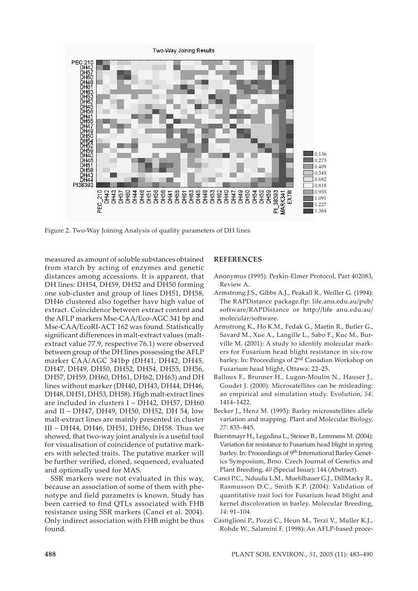

Figure 2. Two-Way Joining Analysis of quality parameters of DH lines

measured as amount of soluble substances obtained from starch by acting of enzymes and genetic distances among accessions. It is apparent, that DH lines: DH54, DH59, DH52 and DH50 forming one sub-cluster and group of lines DH51, DH58, DH46 clustered also together have high value of extract. Coincidence between extract content and the AFLP markers Mse-CAA/Eco-AGC 341 bp and Mse-CAA/EcoRI-ACT 162 was found. Statistically significant differences in malt-extract values (maltextract value 77.9, respective 76.1) were observed between group of the DH lines possessing the AFLP marker CAA/AGC 341bp (DH41, DH42, DH45, DH47, DH49, DH50, DH52, DH54, DH55, DH56, DH57, DH59, DH60, DH61, DH62, DH63) and DH lines without marker (DH40, DH43, DH44, DH46, DH48, DH51, DH53, DH58). High malt-extract lines are included in clusters I – DH42, DH57, DH60 and II – DH47, DH49, DH50, DH52, DH 54, low malt-extract lines are mainly presented in cluster III – DH44, DH46, DH51, DH56, DH58. Thus we showed, that two-way joint analysis is a useful tool for visualisation of coincidence of putative markers with selected traits. The putative marker will be further verified, cloned, sequenced, evaluated and optionally used for MAS.

SSR markers were not evaluated in this way, because an association of some of them with phenotype and field parametrs is known. Study has been carried to find QTLs associated with FHB resistance using SSR markers (Canci et al. 2004). Only indirect association with FHB might be thus found.

### **REFERENCES**

- Anonymus (1995): Perkin-Elmer Protocol, Part 402083, Review A.
- Armstrong J.S., Gibbs A.J., Peakall R., Weiller G. (1994): The RAPDistance package.flp: life.anu.edu.au/pub/ software/RAPDistance or http://life anu.edu.au/ molecular/software.
- Armstrong K., Ho K.M., Fedak G., Martin R., Butler G., Savard M., Xue A., Langille L., Sabo F., Kuc M., Burville M. (2001): A study to identify molecular markers for Fusarium head blight resistance in six-row barley. In: Proceedings of 2nd Canadian Workshop on Fusarium head blight, Ottawa: 22–25.
- Balloux F., Brunner H., Lugon-Moulin N., Hauser J., Goudet J. (2000): Microsatellites can be misleading: an empirical and simulation study. Evolution, *54*: 1414–1422.
- Becker J., Henz M. (1995): Barley microsatellites allele variation and mapping. Plant and Molecular Biology, *27*: 835–845.
- Buerstmayr H., Legzdina L., Steiner B., Lemmens M. (2004): Variation for resistance to Fusarium head blight in spring barley. In: Proceedings of 9<sup>th</sup> International Barley Genetics Symposium, Brno. Czech Journal of Genetics and Plant Breeding, *40* (Special Issue): 144 (Abstract).
- Canci P.C., Nduulu L.M., Muehlbauer G.J., DillMacky R., Rasmusson D.C., Smith K.P. (2004): Validation of quantitative trait loci for Fusarium head blight and kernel discoloration in barley. Molecular Breeding, *14*: 91–104.
- Castiglioni P., Pozzi C., Heun M., Terzi V., Muller K.J., Rohde W., Salamini F. (1998): An AFLP-based proce-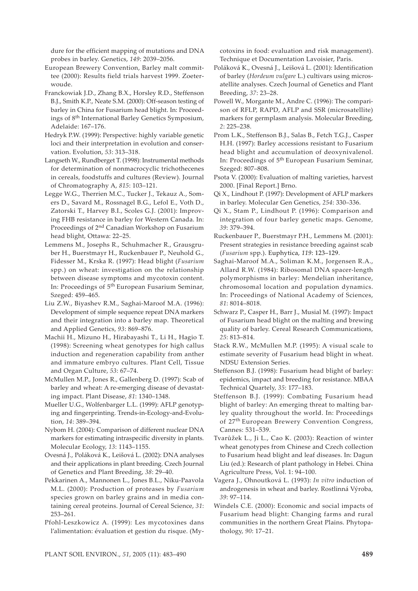dure for the efficient mapping of mutations and DNA probes in barley. Genetics, *149*: 2039–2056.

European Brewery Convention, Barley malt committee (2000): Results field trials harvest 1999. Zoeterwoude.

- Franckowiak J.D., Zhang B.X., Horsley R.D., Steffenson B.J., Smith K.P., Neate S.M. (2000): Off-season testing of barley in China for Fusarium head blight. In: Proceedings of 8th International Barley Genetics Symposium, Adelaide: 167–176.
- Hedryk P.W. (1999): Perspective: highly variable genetic loci and their interpretation in evolution and conservation. Evolution, *53*: 313–318.
- Langseth W., Rundberget T. (1998): Instrumental methods for determination of nonmacrocyclic trichothecenes in cereals, foodstuffs and cultures (Review). Journal of Chromatography A, *815*: 103–121.

Legge W.G., Therrien M.C., Tucker J., Tekauz A., Somers D., Savard M., Rossnagel B.G., Lefol E., Voth D., Zatorski T., Harvey B.I., Scoles G.J. (2001): Improving FHB resistance in barley for Western Canada. In: Proceedings of 2nd Canadian Workshop on Fusarium head blight, Ottawa: 22–25.

Lemmens M., Josephs R., Schuhmacher R., Grausgruber H., Buerstmayr H., Ruckenbauer P., Neuhold G., Fidesser M., Krska R. (1997): Head blight (*Fusarium* spp.) on wheat: investigation on the relationship between disease symptoms and mycotoxin content. In: Proceedings of 5th European Fusarium Seminar, Szeged: 459–465.

Liu Z.W., Biyashev R.M., Saghai-Maroof M.A. (1996): Development of simple sequence repeat DNA markers and their integration into a barley map. Theoretical and Applied Genetics, *93*: 869–876.

Machii H., Mizuno H., Hirabayashi T., Li H., Hagio T. (1998): Screening wheat genotypes for high callus induction and regeneration capability from anther and immature embryo cultures. Plant Cell, Tissue and Organ Culture, *53*: 67–74.

McMullen M.P., Jones R., Gallenberg D. (1997): Scab of barley and wheat: A re-emerging disease of devastating impact. Plant Disease, *81*: 1340–1348.

Mueller U.G., Wolfenbarger L.L. (1999): AFLP genotyping and fingerprinting. Trends-in-Ecology-and-Evolution, *14*: 389–394.

Nybom H. (2004): Comparison of different nuclear DNA markers for estimating intraspecific diversity in plants. Molecular Ecology, *13*: 1143–1155.

Ovesná J., Poláková K., Leišová L. (2002): DNA analyses and their applications in plant breeding. Czech Journal of Genetics and Plant Breeding, *38*: 29–40.

Pekkarinen A., Mannonen L., Jones B.L., Niku-Paavola M.L. (2000): Production of proteases by *Fusarium* species grown on barley grains and in media containing cereal proteins. Journal of Cereal Science, *31*: 253–261.

Pfohl-Leszkowicz A. (1999): Les mycotoxines dans l'alimentation: évaluation et gestion du risque. (Mycotoxins in food: evaluation and risk management). Technique et Documentation Lavoisier, Paris.

- Poláková K., Ovesná J., Leišová L. (2001): Identification of barley (*Hordeum vulgare* L.) cultivars using microsatellite analyses. Czech Journal of Genetics and Plant Breeding, *37*: 23–28.
- Powell W., Morgante M., Andre C. (1996): The comparison of RFLP, RAPD, AFLP and SSR (microsatellite) markers for germplasm analysis. Molecular Breeding, *2*: 225–238.
- Prom L.K., Steffenson B.J., Salas B., Fetch T.G.J., Casper H.H. (1997): Barley accessions resistant to Fusarium head blight and accumulation of deoxynivalenol. In: Proceedings of 5th European Fusarium Seminar, Szeged: 807–808.
- Psota V. (2000): Evaluation of malting varieties, harvest 2000. [Final Report.] Brno.
- Qi X., Lindhout P. (1997): Development of AFLP markers in barley. Molecular Gen Genetics, *254*: 330–336.
- Qi X., Stam P., Lindhout P. (1996): Comparison and integration of four barley genetic maps. Genome, *39*: 379–394.
- Ruckenbauer P., Buerstmayr P.H., Lemmens M. (2001): Present strategies in resistance breeding against scab (*Fusarium* spp.). Euphytica, *119*: 123–129.
- Saghai-Maroof M.A., Soliman K.M., Jorgensen R.A., Allard R.W. (1984): Ribosomal DNA spacer-length polymorphisms in barley: Mendelian inheritance, chromosomal location and population dynamics. In: Proceedings of National Academy of Sciences, *81*: 8014–8018.
- Schwarz P., Casper H., Barr J., Musial M. (1997): Impact of Fusarium head blight on the malting and brewing quality of barley. Cereal Research Communications, *25*: 813–814.
- Stack R.W., McMullen M.P. (1995): A visual scale to estimate severity of Fusarium head blight in wheat. NDSU Extension Series.
- Steffenson B.J. (1998): Fusarium head blight of barley: epidemics, impact and breeding for resistance. MBAA Technical Quartely, *35*: 177–183.
- Steffenson B.J. (1999): Combating Fusarium head blight of barley: An emerging threat to malting barley quality throughout the world. In: Proceedings of 27th European Brewery Convention Congress, Cannes: 531–539.
- Tvarůžek L., Ji L., Cao K. (2003): Reaction of winter wheat genotypes from Chinese and Czech collection to Fusarium head blight and leaf diseases. In: Dagun Liu (ed.): Research of plant pathology in Hebei. China Agriculture Press, Vol. 1: 94–100.
- Vagera J., Ohnoutková L. (1993): *In vitro* induction of androgenesis in wheat and barley. Rostlinná Výroba, *39*: 97–114.
- Windels C.E. (2000): Economic and social impacts of Fusarium head blight: Changing farms and rural communities in the northern Great Plains. Phytopathology, *90*: 17–21.